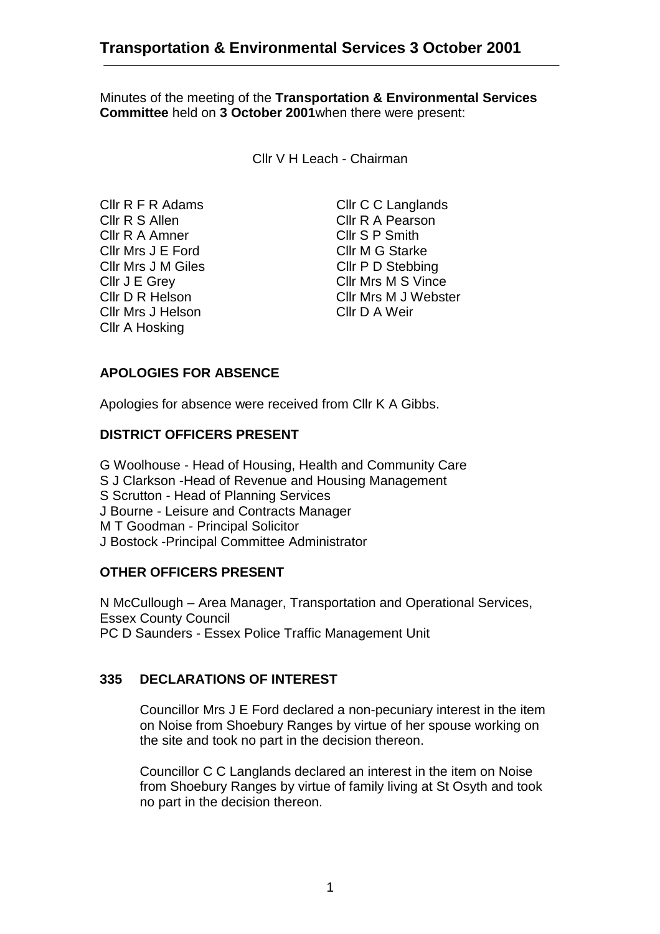Minutes of the meeting of the **Transportation & Environmental Services Committee** held on **3 October 2001**when there were present:

Cllr V H Leach - Chairman

Cllr R S Allen Cllr R A Pearson Cllr R A Amner Cllr S P Smith Cllr Mrs J E Ford Cllr M G Starke Cllr Mrs J M Giles Cllr P D Stebbing Cllr Mrs J Helson Cllr D A Weir Cllr A Hosking

Cllr R F R Adams Cllr C C Langlands Cllr J E Grey Cllr Mrs M S Vince Cllr D R Helson Cllr Mrs M J Webster

# **APOLOGIES FOR ABSENCE**

Apologies for absence were received from Cllr K A Gibbs.

### **DISTRICT OFFICERS PRESENT**

G Woolhouse - Head of Housing, Health and Community Care S J Clarkson -Head of Revenue and Housing Management S Scrutton - Head of Planning Services J Bourne - Leisure and Contracts Manager M T Goodman - Principal Solicitor J Bostock -Principal Committee Administrator

## **OTHER OFFICERS PRESENT**

N McCullough – Area Manager, Transportation and Operational Services, Essex County Council PC D Saunders - Essex Police Traffic Management Unit

## **335 DECLARATIONS OF INTEREST**

Councillor Mrs J E Ford declared a non-pecuniary interest in the item on Noise from Shoebury Ranges by virtue of her spouse working on the site and took no part in the decision thereon.

Councillor C C Langlands declared an interest in the item on Noise from Shoebury Ranges by virtue of family living at St Osyth and took no part in the decision thereon.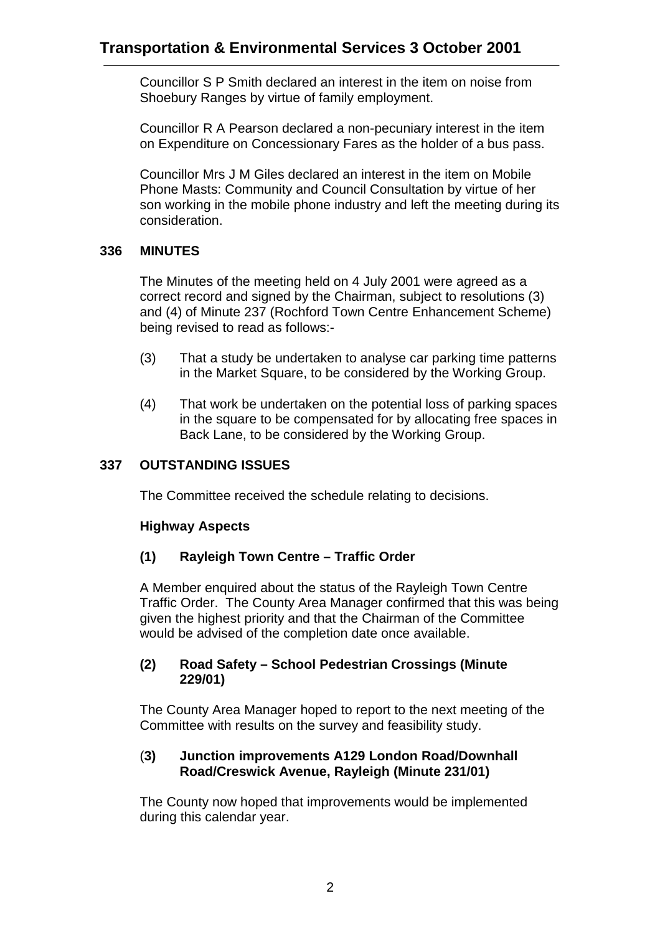Councillor S P Smith declared an interest in the item on noise from Shoebury Ranges by virtue of family employment.

Councillor R A Pearson declared a non-pecuniary interest in the item on Expenditure on Concessionary Fares as the holder of a bus pass.

Councillor Mrs J M Giles declared an interest in the item on Mobile Phone Masts: Community and Council Consultation by virtue of her son working in the mobile phone industry and left the meeting during its consideration.

## **336 MINUTES**

The Minutes of the meeting held on 4 July 2001 were agreed as a correct record and signed by the Chairman, subject to resolutions (3) and (4) of Minute 237 (Rochford Town Centre Enhancement Scheme) being revised to read as follows:-

- (3) That a study be undertaken to analyse car parking time patterns in the Market Square, to be considered by the Working Group.
- (4) That work be undertaken on the potential loss of parking spaces in the square to be compensated for by allocating free spaces in Back Lane, to be considered by the Working Group.

## **337 OUTSTANDING ISSUES**

The Committee received the schedule relating to decisions.

## **Highway Aspects**

## **(1) Rayleigh Town Centre – Traffic Order**

A Member enquired about the status of the Rayleigh Town Centre Traffic Order. The County Area Manager confirmed that this was being given the highest priority and that the Chairman of the Committee would be advised of the completion date once available.

#### **(2) Road Safety – School Pedestrian Crossings (Minute 229/01)**

The County Area Manager hoped to report to the next meeting of the Committee with results on the survey and feasibility study.

### (**3) Junction improvements A129 London Road/Downhall Road/Creswick Avenue, Rayleigh (Minute 231/01)**

The County now hoped that improvements would be implemented during this calendar year.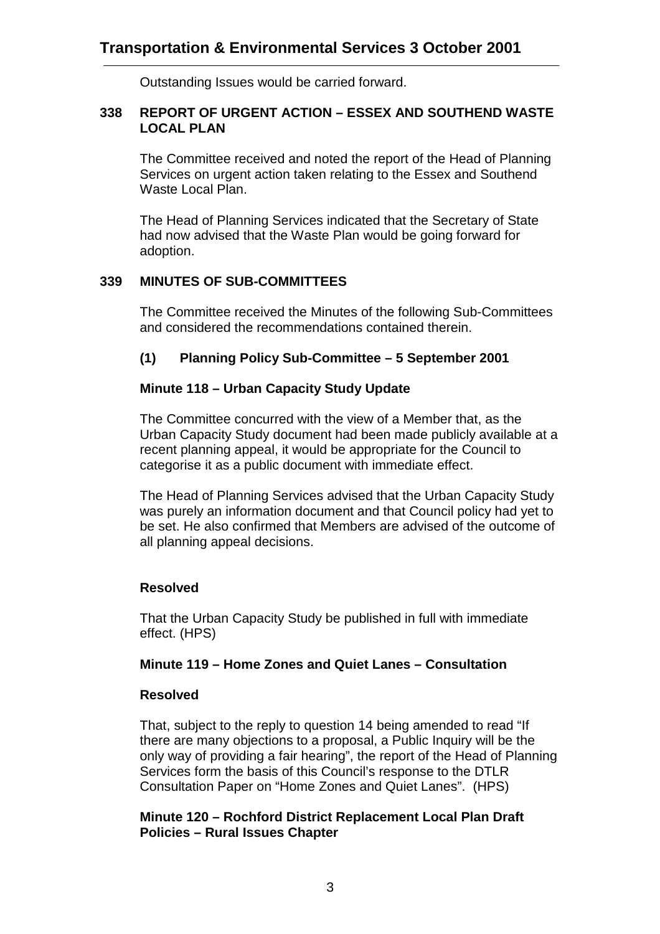Outstanding Issues would be carried forward.

### **338 REPORT OF URGENT ACTION – ESSEX AND SOUTHEND WASTE LOCAL PLAN**

The Committee received and noted the report of the Head of Planning Services on urgent action taken relating to the Essex and Southend Waste Local Plan.

The Head of Planning Services indicated that the Secretary of State had now advised that the Waste Plan would be going forward for adoption.

## **339 MINUTES OF SUB-COMMITTEES**

The Committee received the Minutes of the following Sub-Committees and considered the recommendations contained therein.

# **(1) Planning Policy Sub-Committee – 5 September 2001**

## **Minute 118 – Urban Capacity Study Update**

The Committee concurred with the view of a Member that, as the Urban Capacity Study document had been made publicly available at a recent planning appeal, it would be appropriate for the Council to categorise it as a public document with immediate effect.

The Head of Planning Services advised that the Urban Capacity Study was purely an information document and that Council policy had yet to be set. He also confirmed that Members are advised of the outcome of all planning appeal decisions.

# **Resolved**

That the Urban Capacity Study be published in full with immediate effect. (HPS)

## **Minute 119 – Home Zones and Quiet Lanes – Consultation**

## **Resolved**

That, subject to the reply to question 14 being amended to read "If there are many objections to a proposal, a Public Inquiry will be the only way of providing a fair hearing", the report of the Head of Planning Services form the basis of this Council's response to the DTLR Consultation Paper on "Home Zones and Quiet Lanes". (HPS)

## **Minute 120 – Rochford District Replacement Local Plan Draft Policies – Rural Issues Chapter**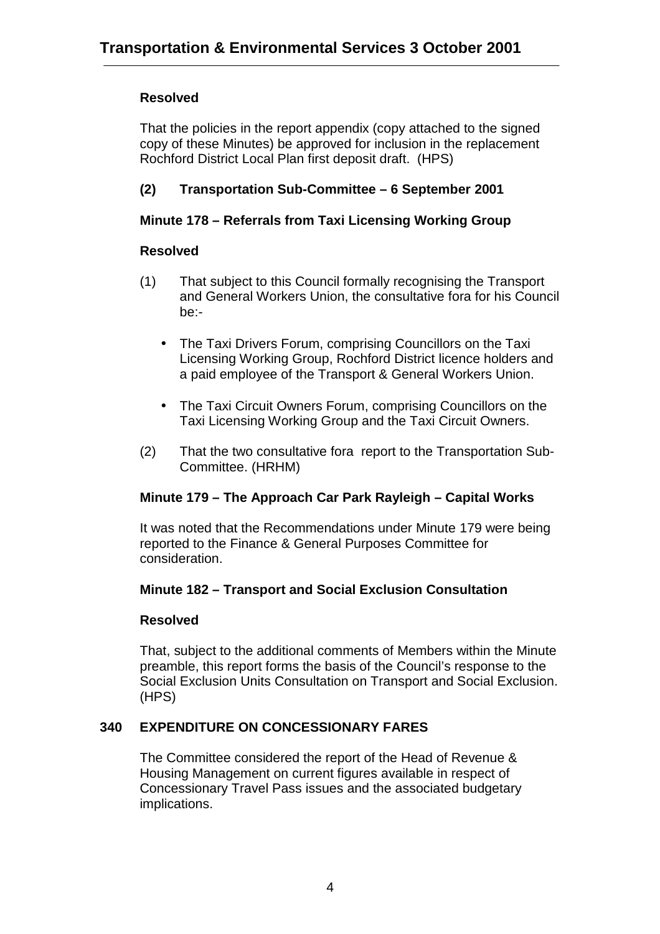# **Resolved**

That the policies in the report appendix (copy attached to the signed copy of these Minutes) be approved for inclusion in the replacement Rochford District Local Plan first deposit draft. (HPS)

# **(2) Transportation Sub-Committee – 6 September 2001**

# **Minute 178 – Referrals from Taxi Licensing Working Group**

## **Resolved**

- (1) That subject to this Council formally recognising the Transport and General Workers Union, the consultative fora for his Council be:-
	- The Taxi Drivers Forum, comprising Councillors on the Taxi Licensing Working Group, Rochford District licence holders and a paid employee of the Transport & General Workers Union.
	- The Taxi Circuit Owners Forum, comprising Councillors on the Taxi Licensing Working Group and the Taxi Circuit Owners.
- (2) That the two consultative fora report to the Transportation Sub-Committee. (HRHM)

## **Minute 179 – The Approach Car Park Rayleigh – Capital Works**

It was noted that the Recommendations under Minute 179 were being reported to the Finance & General Purposes Committee for consideration.

## **Minute 182 – Transport and Social Exclusion Consultation**

## **Resolved**

That, subject to the additional comments of Members within the Minute preamble, this report forms the basis of the Council's response to the Social Exclusion Units Consultation on Transport and Social Exclusion. (HPS)

## **340 EXPENDITURE ON CONCESSIONARY FARES**

The Committee considered the report of the Head of Revenue & Housing Management on current figures available in respect of Concessionary Travel Pass issues and the associated budgetary implications.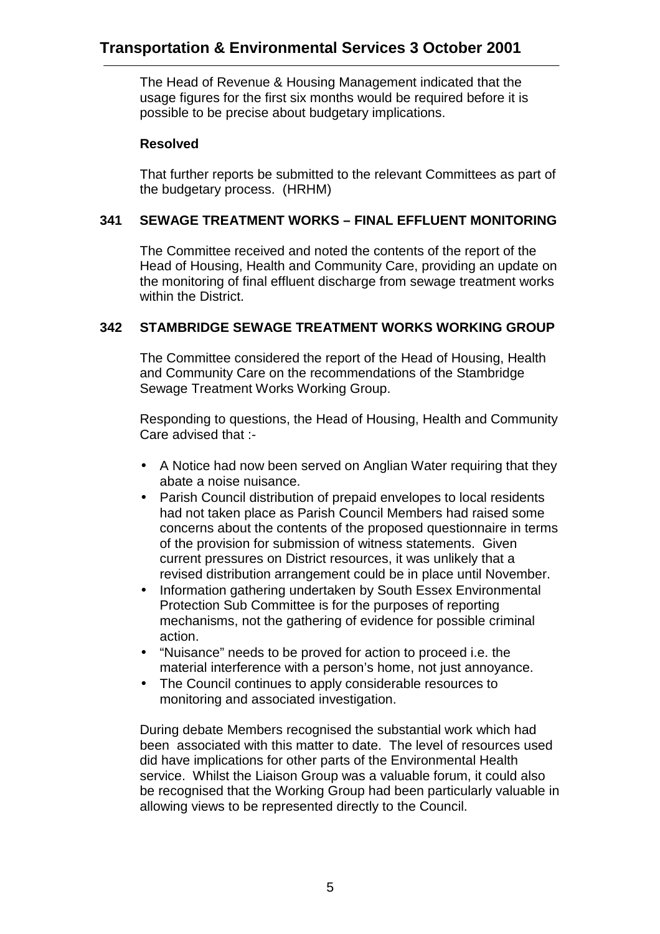The Head of Revenue & Housing Management indicated that the usage figures for the first six months would be required before it is possible to be precise about budgetary implications.

### **Resolved**

That further reports be submitted to the relevant Committees as part of the budgetary process. (HRHM)

## **341 SEWAGE TREATMENT WORKS – FINAL EFFLUENT MONITORING**

The Committee received and noted the contents of the report of the Head of Housing, Health and Community Care, providing an update on the monitoring of final effluent discharge from sewage treatment works within the District.

## **342 STAMBRIDGE SEWAGE TREATMENT WORKS WORKING GROUP**

The Committee considered the report of the Head of Housing, Health and Community Care on the recommendations of the Stambridge Sewage Treatment Works Working Group.

Responding to questions, the Head of Housing, Health and Community Care advised that :-

- A Notice had now been served on Anglian Water requiring that they abate a noise nuisance.
- Parish Council distribution of prepaid envelopes to local residents had not taken place as Parish Council Members had raised some concerns about the contents of the proposed questionnaire in terms of the provision for submission of witness statements. Given current pressures on District resources, it was unlikely that a revised distribution arrangement could be in place until November.
- Information gathering undertaken by South Essex Environmental Protection Sub Committee is for the purposes of reporting mechanisms, not the gathering of evidence for possible criminal action.
- "Nuisance" needs to be proved for action to proceed i.e. the material interference with a person's home, not just annoyance.
- The Council continues to apply considerable resources to monitoring and associated investigation.

During debate Members recognised the substantial work which had been associated with this matter to date. The level of resources used did have implications for other parts of the Environmental Health service. Whilst the Liaison Group was a valuable forum, it could also be recognised that the Working Group had been particularly valuable in allowing views to be represented directly to the Council.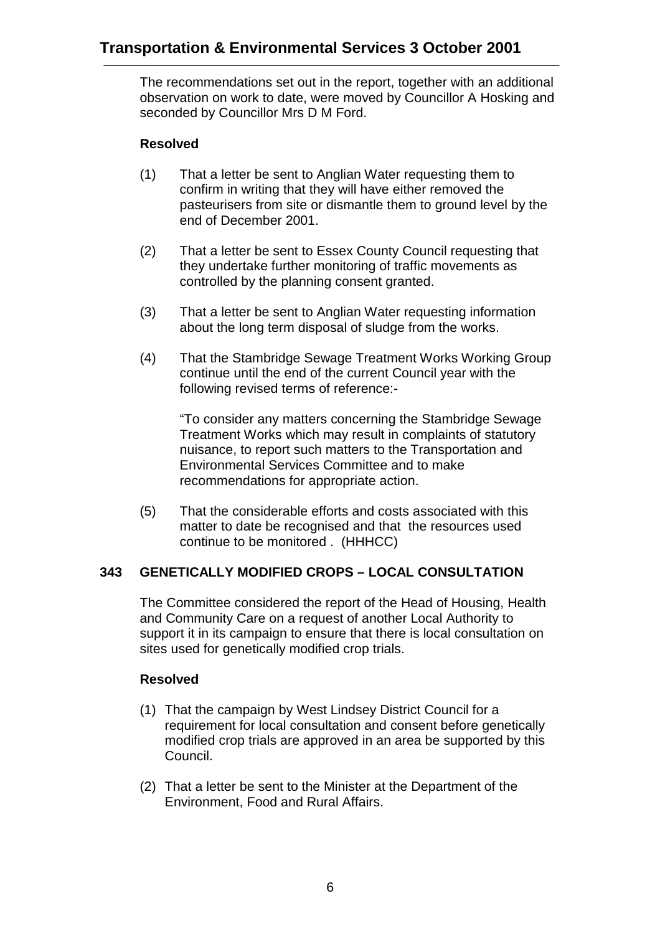The recommendations set out in the report, together with an additional observation on work to date, were moved by Councillor A Hosking and seconded by Councillor Mrs D M Ford.

# **Resolved**

- (1) That a letter be sent to Anglian Water requesting them to confirm in writing that they will have either removed the pasteurisers from site or dismantle them to ground level by the end of December 2001.
- (2) That a letter be sent to Essex County Council requesting that they undertake further monitoring of traffic movements as controlled by the planning consent granted.
- (3) That a letter be sent to Anglian Water requesting information about the long term disposal of sludge from the works.
- (4) That the Stambridge Sewage Treatment Works Working Group continue until the end of the current Council year with the following revised terms of reference:-

"To consider any matters concerning the Stambridge Sewage Treatment Works which may result in complaints of statutory nuisance, to report such matters to the Transportation and Environmental Services Committee and to make recommendations for appropriate action.

(5) That the considerable efforts and costs associated with this matter to date be recognised and that the resources used continue to be monitored . (HHHCC)

## **343 GENETICALLY MODIFIED CROPS – LOCAL CONSULTATION**

The Committee considered the report of the Head of Housing, Health and Community Care on a request of another Local Authority to support it in its campaign to ensure that there is local consultation on sites used for genetically modified crop trials.

## **Resolved**

- (1) That the campaign by West Lindsey District Council for a requirement for local consultation and consent before genetically modified crop trials are approved in an area be supported by this Council.
- (2) That a letter be sent to the Minister at the Department of the Environment, Food and Rural Affairs.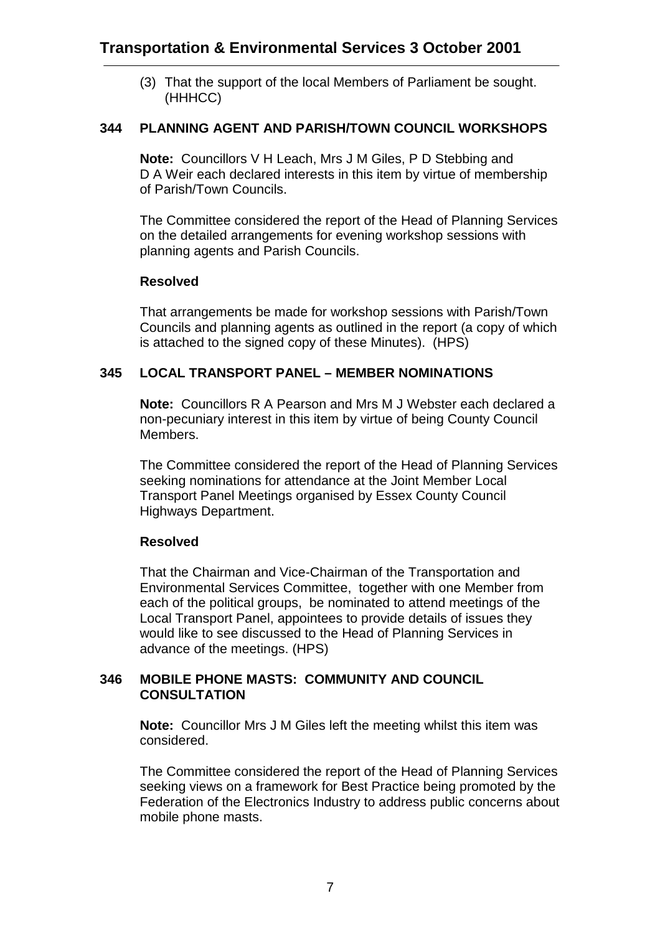(3) That the support of the local Members of Parliament be sought. (HHHCC)

### **344 PLANNING AGENT AND PARISH/TOWN COUNCIL WORKSHOPS**

**Note:** Councillors V H Leach, Mrs J M Giles, P D Stebbing and D A Weir each declared interests in this item by virtue of membership of Parish/Town Councils.

The Committee considered the report of the Head of Planning Services on the detailed arrangements for evening workshop sessions with planning agents and Parish Councils.

### **Resolved**

That arrangements be made for workshop sessions with Parish/Town Councils and planning agents as outlined in the report (a copy of which is attached to the signed copy of these Minutes). (HPS)

### **345 LOCAL TRANSPORT PANEL – MEMBER NOMINATIONS**

**Note:** Councillors R A Pearson and Mrs M J Webster each declared a non-pecuniary interest in this item by virtue of being County Council Members.

The Committee considered the report of the Head of Planning Services seeking nominations for attendance at the Joint Member Local Transport Panel Meetings organised by Essex County Council Highways Department.

#### **Resolved**

That the Chairman and Vice-Chairman of the Transportation and Environmental Services Committee, together with one Member from each of the political groups, be nominated to attend meetings of the Local Transport Panel, appointees to provide details of issues they would like to see discussed to the Head of Planning Services in advance of the meetings. (HPS)

#### **346 MOBILE PHONE MASTS: COMMUNITY AND COUNCIL CONSULTATION**

**Note:** Councillor Mrs J M Giles left the meeting whilst this item was considered.

The Committee considered the report of the Head of Planning Services seeking views on a framework for Best Practice being promoted by the Federation of the Electronics Industry to address public concerns about mobile phone masts.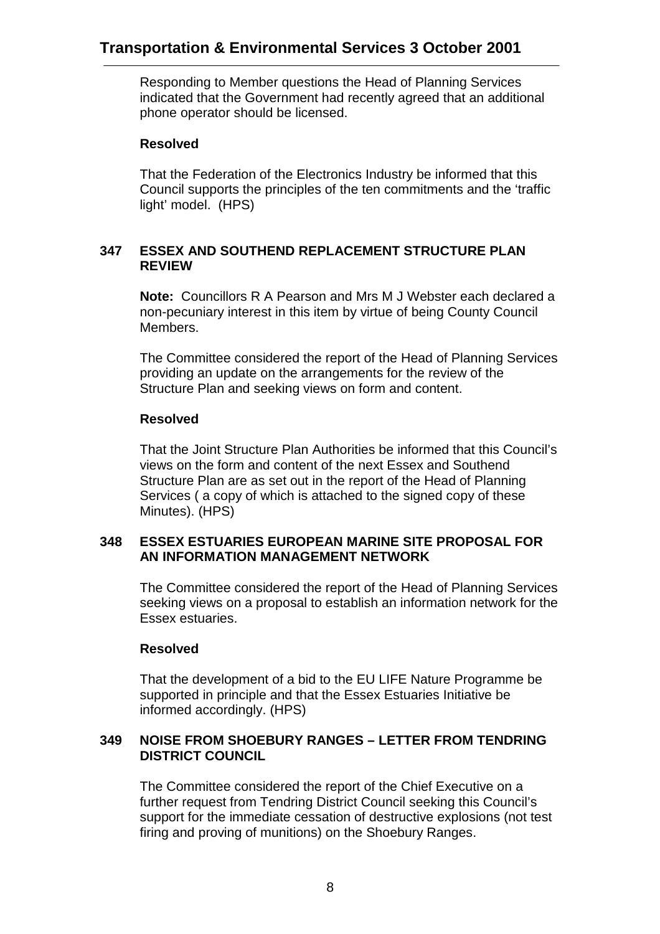Responding to Member questions the Head of Planning Services indicated that the Government had recently agreed that an additional phone operator should be licensed.

### **Resolved**

That the Federation of the Electronics Industry be informed that this Council supports the principles of the ten commitments and the 'traffic light' model. (HPS)

## **347 ESSEX AND SOUTHEND REPLACEMENT STRUCTURE PLAN REVIEW**

**Note:** Councillors R A Pearson and Mrs M J Webster each declared a non-pecuniary interest in this item by virtue of being County Council Members.

The Committee considered the report of the Head of Planning Services providing an update on the arrangements for the review of the Structure Plan and seeking views on form and content.

### **Resolved**

That the Joint Structure Plan Authorities be informed that this Council's views on the form and content of the next Essex and Southend Structure Plan are as set out in the report of the Head of Planning Services ( a copy of which is attached to the signed copy of these Minutes). (HPS)

#### **348 ESSEX ESTUARIES EUROPEAN MARINE SITE PROPOSAL FOR AN INFORMATION MANAGEMENT NETWORK**

The Committee considered the report of the Head of Planning Services seeking views on a proposal to establish an information network for the Essex estuaries.

#### **Resolved**

That the development of a bid to the EU LIFE Nature Programme be supported in principle and that the Essex Estuaries Initiative be informed accordingly. (HPS)

### **349 NOISE FROM SHOEBURY RANGES – LETTER FROM TENDRING DISTRICT COUNCIL**

The Committee considered the report of the Chief Executive on a further request from Tendring District Council seeking this Council's support for the immediate cessation of destructive explosions (not test firing and proving of munitions) on the Shoebury Ranges.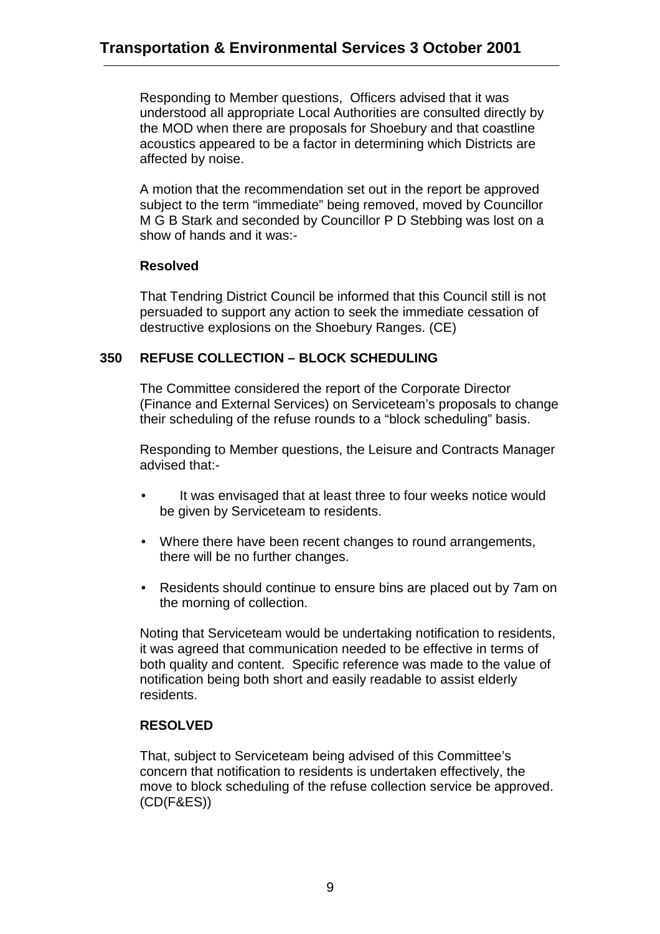Responding to Member questions, Officers advised that it was understood all appropriate Local Authorities are consulted directly by the MOD when there are proposals for Shoebury and that coastline acoustics appeared to be a factor in determining which Districts are affected by noise.

A motion that the recommendation set out in the report be approved subject to the term "immediate" being removed, moved by Councillor M G B Stark and seconded by Councillor P D Stebbing was lost on a show of hands and it was:-

### **Resolved**

That Tendring District Council be informed that this Council still is not persuaded to support any action to seek the immediate cessation of destructive explosions on the Shoebury Ranges. (CE)

## **350 REFUSE COLLECTION – BLOCK SCHEDULING**

The Committee considered the report of the Corporate Director (Finance and External Services) on Serviceteam's proposals to change their scheduling of the refuse rounds to a "block scheduling" basis.

Responding to Member questions, the Leisure and Contracts Manager advised that:-

- It was envisaged that at least three to four weeks notice would be given by Serviceteam to residents.
- Where there have been recent changes to round arrangements, there will be no further changes.
- Residents should continue to ensure bins are placed out by 7am on the morning of collection.

Noting that Serviceteam would be undertaking notification to residents, it was agreed that communication needed to be effective in terms of both quality and content. Specific reference was made to the value of notification being both short and easily readable to assist elderly residents.

#### **RESOLVED**

That, subject to Serviceteam being advised of this Committee's concern that notification to residents is undertaken effectively, the move to block scheduling of the refuse collection service be approved. (CD(F&ES))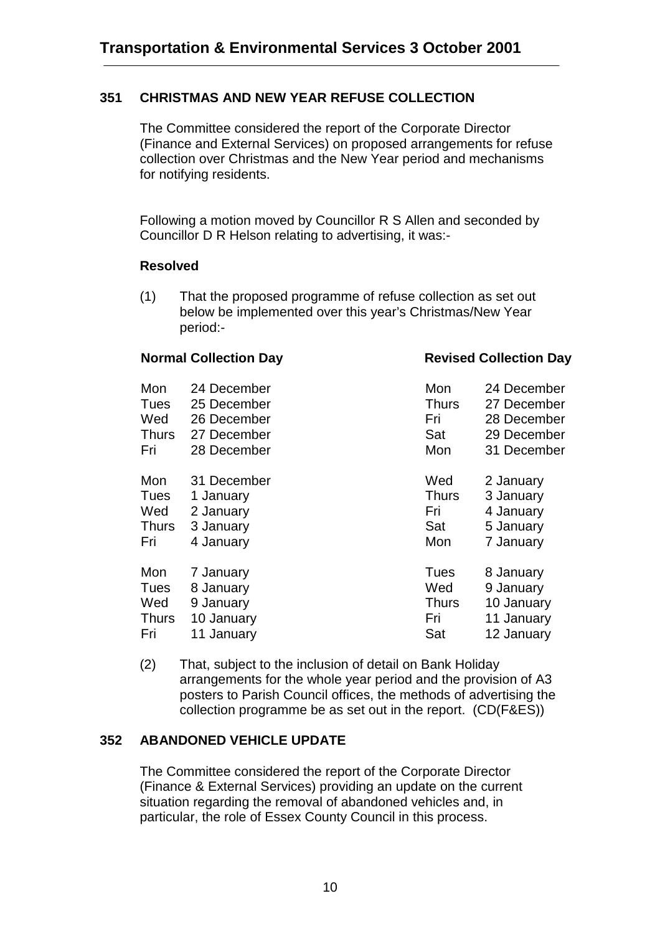#### **351 CHRISTMAS AND NEW YEAR REFUSE COLLECTION**

The Committee considered the report of the Corporate Director (Finance and External Services) on proposed arrangements for refuse collection over Christmas and the New Year period and mechanisms for notifying residents.

Following a motion moved by Councillor R S Allen and seconded by Councillor D R Helson relating to advertising, it was:-

#### **Resolved**

(1) That the proposed programme of refuse collection as set out below be implemented over this year's Christmas/New Year period:-

#### **Normal Collection Day Collection Day**

| Mon          | 24 December | Mon          | 24 December |
|--------------|-------------|--------------|-------------|
| <b>Tues</b>  | 25 December | <b>Thurs</b> | 27 December |
| Wed          | 26 December | Fri          | 28 December |
| <b>Thurs</b> | 27 December | Sat          | 29 December |
| Fri          | 28 December | Mon          | 31 December |
| Mon          | 31 December | Wed          | 2 January   |
| <b>Tues</b>  | 1 January   | <b>Thurs</b> | 3 January   |
| Wed          | 2 January   | Fri          | 4 January   |
| <b>Thurs</b> | 3 January   | Sat          | 5 January   |
| Fri          | 4 January   | Mon          | 7 January   |
| Mon          | 7 January   | Tues         | 8 January   |
| <b>Tues</b>  | 8 January   | Wed          | 9 January   |
| Wed          | 9 January   | <b>Thurs</b> | 10 January  |
| <b>Thurs</b> | 10 January  | Fri          | 11 January  |
| Fri          | 11 January  | Sat          | 12 January  |

(2) That, subject to the inclusion of detail on Bank Holiday arrangements for the whole year period and the provision of A3 posters to Parish Council offices, the methods of advertising the collection programme be as set out in the report. (CD(F&ES))

#### **352 ABANDONED VEHICLE UPDATE**

The Committee considered the report of the Corporate Director (Finance & External Services) providing an update on the current situation regarding the removal of abandoned vehicles and, in particular, the role of Essex County Council in this process.